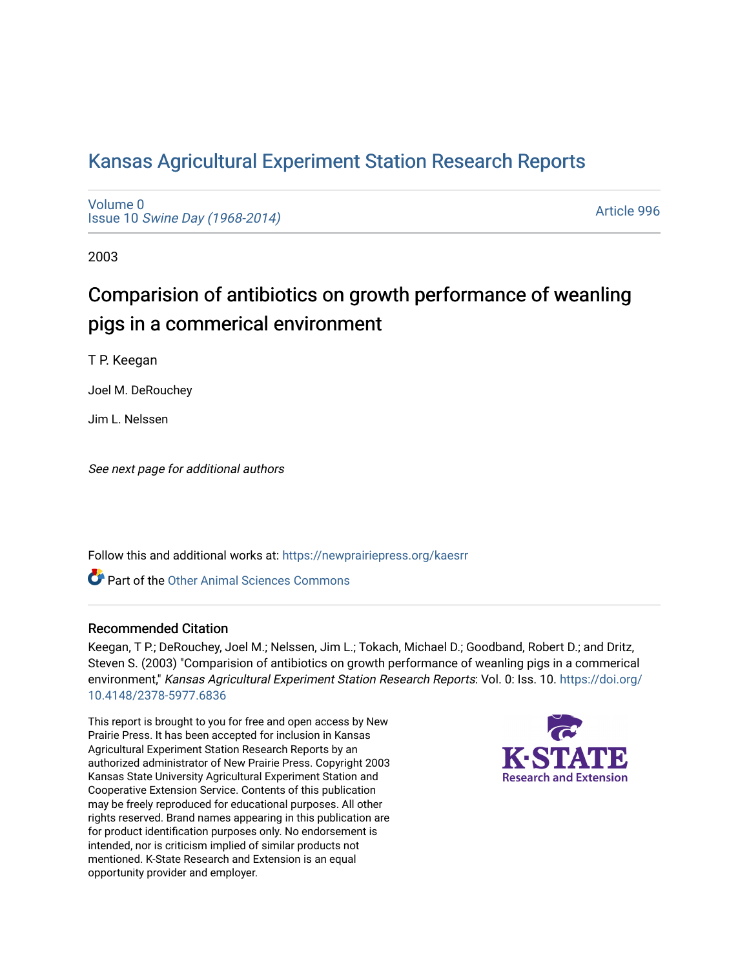# [Kansas Agricultural Experiment Station Research Reports](https://newprairiepress.org/kaesrr)

[Volume 0](https://newprairiepress.org/kaesrr/vol0) Issue 10 [Swine Day \(1968-2014\)](https://newprairiepress.org/kaesrr/vol0/iss10)

[Article 996](https://newprairiepress.org/kaesrr/vol0/iss10/996) 

2003

# Comparision of antibiotics on growth performance of weanling pigs in a commerical environment

T P. Keegan

Joel M. DeRouchey

Jim L. Nelssen

See next page for additional authors

Follow this and additional works at: [https://newprairiepress.org/kaesrr](https://newprairiepress.org/kaesrr?utm_source=newprairiepress.org%2Fkaesrr%2Fvol0%2Fiss10%2F996&utm_medium=PDF&utm_campaign=PDFCoverPages) 

**C** Part of the [Other Animal Sciences Commons](http://network.bepress.com/hgg/discipline/82?utm_source=newprairiepress.org%2Fkaesrr%2Fvol0%2Fiss10%2F996&utm_medium=PDF&utm_campaign=PDFCoverPages)

### Recommended Citation

Keegan, T P.; DeRouchey, Joel M.; Nelssen, Jim L.; Tokach, Michael D.; Goodband, Robert D.; and Dritz, Steven S. (2003) "Comparision of antibiotics on growth performance of weanling pigs in a commerical environment," Kansas Agricultural Experiment Station Research Reports: Vol. 0: Iss. 10. [https://doi.org/](https://doi.org/10.4148/2378-5977.6836) [10.4148/2378-5977.6836](https://doi.org/10.4148/2378-5977.6836)

This report is brought to you for free and open access by New Prairie Press. It has been accepted for inclusion in Kansas Agricultural Experiment Station Research Reports by an authorized administrator of New Prairie Press. Copyright 2003 Kansas State University Agricultural Experiment Station and Cooperative Extension Service. Contents of this publication may be freely reproduced for educational purposes. All other rights reserved. Brand names appearing in this publication are for product identification purposes only. No endorsement is intended, nor is criticism implied of similar products not mentioned. K-State Research and Extension is an equal opportunity provider and employer.

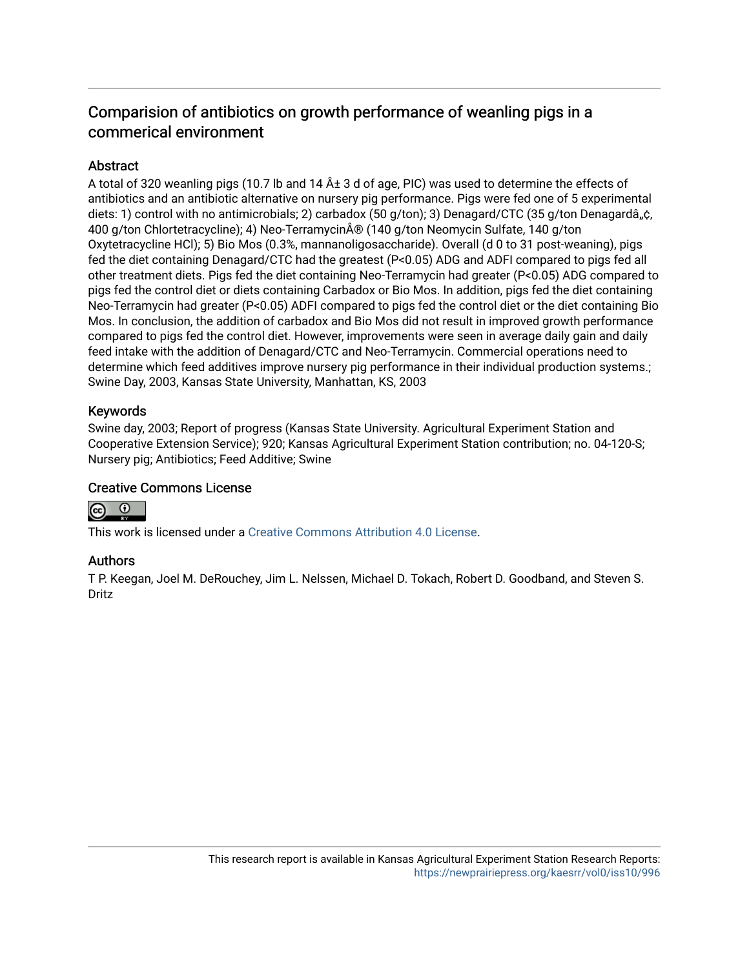# Comparision of antibiotics on growth performance of weanling pigs in a commerical environment

# **Abstract**

A total of 320 weanling pigs (10.7 lb and 14  $\hat{A}$  3 d of age, PIC) was used to determine the effects of antibiotics and an antibiotic alternative on nursery pig performance. Pigs were fed one of 5 experimental diets: 1) control with no antimicrobials; 2) carbadox (50 g/ton); 3) Denagard/CTC (35 g/ton Denagardâ, $\hat{c}$ , 400 g/ton Chlortetracycline); 4) Neo-Terramycin® (140 g/ton Neomycin Sulfate, 140 g/ton Oxytetracycline HCl); 5) Bio Mos (0.3%, mannanoligosaccharide). Overall (d 0 to 31 post-weaning), pigs fed the diet containing Denagard/CTC had the greatest (P<0.05) ADG and ADFI compared to pigs fed all other treatment diets. Pigs fed the diet containing Neo-Terramycin had greater (P<0.05) ADG compared to pigs fed the control diet or diets containing Carbadox or Bio Mos. In addition, pigs fed the diet containing Neo-Terramycin had greater (P<0.05) ADFI compared to pigs fed the control diet or the diet containing Bio Mos. In conclusion, the addition of carbadox and Bio Mos did not result in improved growth performance compared to pigs fed the control diet. However, improvements were seen in average daily gain and daily feed intake with the addition of Denagard/CTC and Neo-Terramycin. Commercial operations need to determine which feed additives improve nursery pig performance in their individual production systems.; Swine Day, 2003, Kansas State University, Manhattan, KS, 2003

## Keywords

Swine day, 2003; Report of progress (Kansas State University. Agricultural Experiment Station and Cooperative Extension Service); 920; Kansas Agricultural Experiment Station contribution; no. 04-120-S; Nursery pig; Antibiotics; Feed Additive; Swine

# Creative Commons License



This work is licensed under a [Creative Commons Attribution 4.0 License](https://creativecommons.org/licenses/by/4.0/).

# Authors

T P. Keegan, Joel M. DeRouchey, Jim L. Nelssen, Michael D. Tokach, Robert D. Goodband, and Steven S. Dritz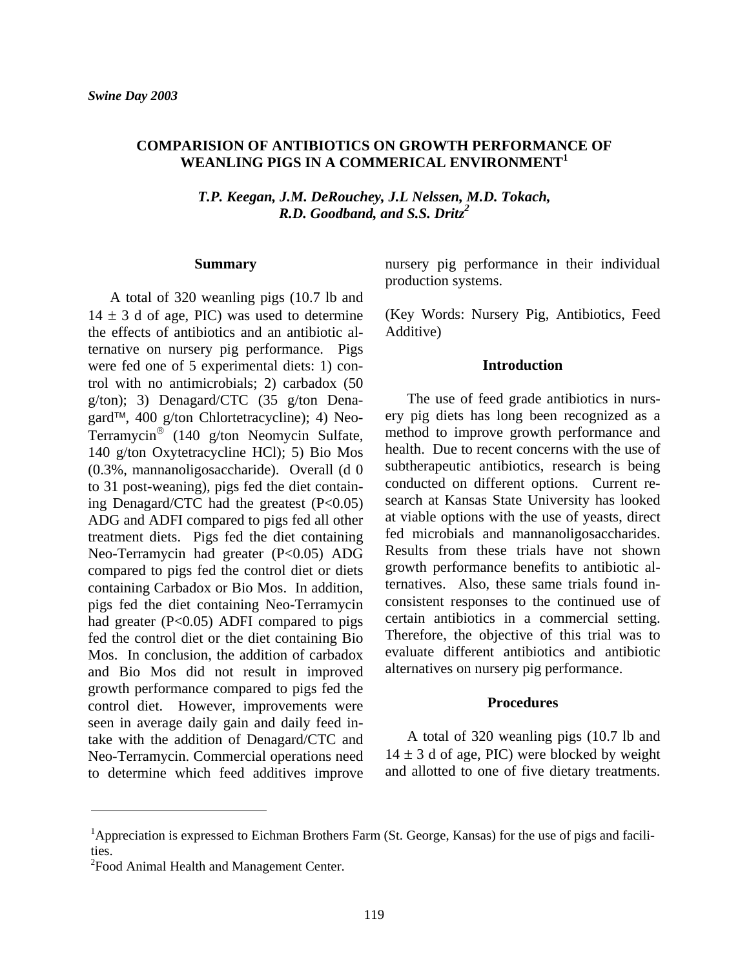## **COMPARISION OF ANTIBIOTICS ON GROWTH PERFORMANCE OF WEANLING PIGS IN A COMMERICAL ENVIRONMENT<sup>1</sup>**

*T.P. Keegan, J.M. DeRouchey, J.L Nelssen, M.D. Tokach, R.D. Goodband, and S.S. Dritz<sup>2</sup>*

#### **Summary**

 A total of 320 weanling pigs (10.7 lb and  $14 \pm 3$  d of age, PIC) was used to determine the effects of antibiotics and an antibiotic alternative on nursery pig performance. Pigs were fed one of 5 experimental diets: 1) control with no antimicrobials; 2) carbadox (50 g/ton); 3) Denagard/CTC (35 g/ton Denagard™, 400 g/ton Chlortetracycline); 4) Neo-Terramycin® (140 g/ton Neomycin Sulfate, 140 g/ton Oxytetracycline HCl); 5) Bio Mos (0.3%, mannanoligosaccharide). Overall (d 0 to 31 post-weaning), pigs fed the diet containing Denagard/CTC had the greatest (P<0.05) ADG and ADFI compared to pigs fed all other treatment diets. Pigs fed the diet containing Neo-Terramycin had greater (P<0.05) ADG compared to pigs fed the control diet or diets containing Carbadox or Bio Mos. In addition, pigs fed the diet containing Neo-Terramycin had greater (P<0.05) ADFI compared to pigs fed the control diet or the diet containing Bio Mos. In conclusion, the addition of carbadox and Bio Mos did not result in improved growth performance compared to pigs fed the control diet. However, improvements were seen in average daily gain and daily feed intake with the addition of Denagard/CTC and Neo-Terramycin. Commercial operations need to determine which feed additives improve nursery pig performance in their individual production systems.

(Key Words: Nursery Pig, Antibiotics, Feed Additive)

#### **Introduction**

 The use of feed grade antibiotics in nursery pig diets has long been recognized as a method to improve growth performance and health. Due to recent concerns with the use of subtherapeutic antibiotics, research is being conducted on different options. Current research at Kansas State University has looked at viable options with the use of yeasts, direct fed microbials and mannanoligosaccharides. Results from these trials have not shown growth performance benefits to antibiotic alternatives. Also, these same trials found inconsistent responses to the continued use of certain antibiotics in a commercial setting. Therefore, the objective of this trial was to evaluate different antibiotics and antibiotic alternatives on nursery pig performance.

### **Procedures**

 A total of 320 weanling pigs (10.7 lb and  $14 \pm 3$  d of age, PIC) were blocked by weight and allotted to one of five dietary treatments.

l

<sup>&</sup>lt;sup>1</sup>Appreciation is expressed to Eichman Brothers Farm (St. George, Kansas) for the use of pigs and facilities.

<sup>&</sup>lt;sup>2</sup> Food Animal Health and Management Center.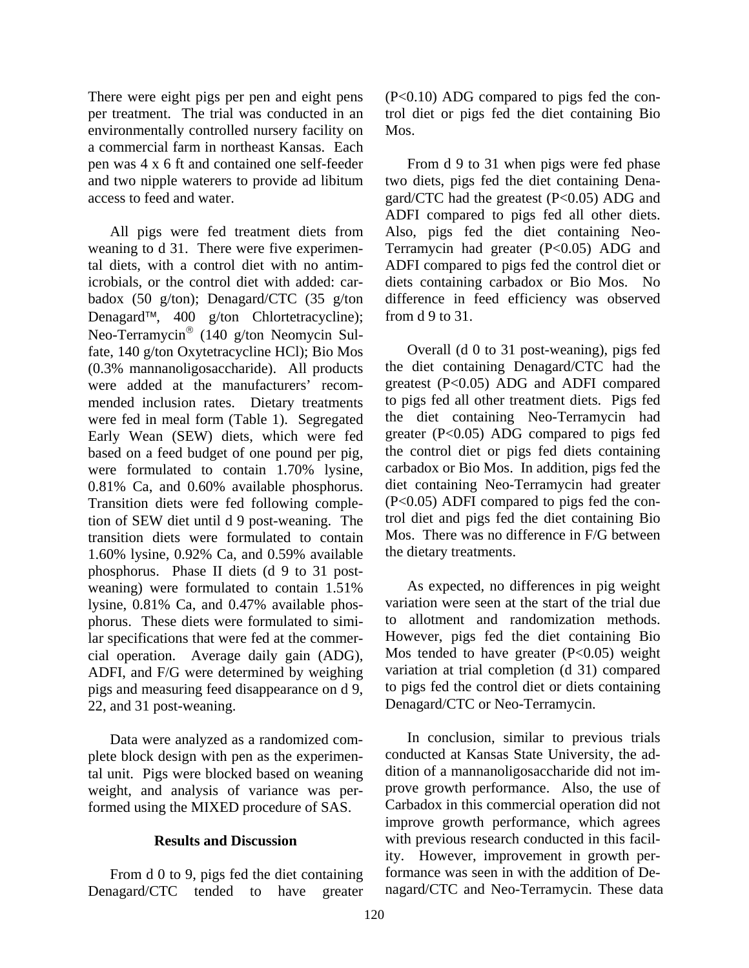There were eight pigs per pen and eight pens per treatment. The trial was conducted in an environmentally controlled nursery facility on a commercial farm in northeast Kansas. Each pen was 4 x 6 ft and contained one self-feeder and two nipple waterers to provide ad libitum access to feed and water.

 All pigs were fed treatment diets from weaning to d 31. There were five experimental diets, with a control diet with no antimicrobials, or the control diet with added: carbadox (50 g/ton); Denagard/CTC (35 g/ton Denagard™, 400 g/ton Chlortetracycline); Neo-Terramycin® (140 g/ton Neomycin Sulfate, 140 g/ton Oxytetracycline HCl); Bio Mos (0.3% mannanoligosaccharide). All products were added at the manufacturers' recommended inclusion rates. Dietary treatments were fed in meal form (Table 1). Segregated Early Wean (SEW) diets, which were fed based on a feed budget of one pound per pig, were formulated to contain 1.70% lysine, 0.81% Ca, and 0.60% available phosphorus. Transition diets were fed following completion of SEW diet until d 9 post-weaning. The transition diets were formulated to contain 1.60% lysine, 0.92% Ca, and 0.59% available phosphorus. Phase II diets (d 9 to 31 postweaning) were formulated to contain 1.51% lysine, 0.81% Ca, and 0.47% available phosphorus. These diets were formulated to similar specifications that were fed at the commercial operation. Average daily gain (ADG), ADFI, and F/G were determined by weighing pigs and measuring feed disappearance on d 9, 22, and 31 post-weaning.

 Data were analyzed as a randomized complete block design with pen as the experimental unit. Pigs were blocked based on weaning weight, and analysis of variance was performed using the MIXED procedure of SAS.

### **Results and Discussion**

 From d 0 to 9, pigs fed the diet containing Denagard/CTC tended to have greater (P<0.10) ADG compared to pigs fed the control diet or pigs fed the diet containing Bio Mos.

 From d 9 to 31 when pigs were fed phase two diets, pigs fed the diet containing Denagard/CTC had the greatest (P<0.05) ADG and ADFI compared to pigs fed all other diets. Also, pigs fed the diet containing Neo-Terramycin had greater (P<0.05) ADG and ADFI compared to pigs fed the control diet or diets containing carbadox or Bio Mos. No difference in feed efficiency was observed from d 9 to 31.

 Overall (d 0 to 31 post-weaning), pigs fed the diet containing Denagard/CTC had the greatest (P<0.05) ADG and ADFI compared to pigs fed all other treatment diets. Pigs fed the diet containing Neo-Terramycin had greater (P<0.05) ADG compared to pigs fed the control diet or pigs fed diets containing carbadox or Bio Mos. In addition, pigs fed the diet containing Neo-Terramycin had greater (P<0.05) ADFI compared to pigs fed the control diet and pigs fed the diet containing Bio Mos. There was no difference in F/G between the dietary treatments.

 As expected, no differences in pig weight variation were seen at the start of the trial due to allotment and randomization methods. However, pigs fed the diet containing Bio Mos tended to have greater  $(P<0.05)$  weight variation at trial completion (d 31) compared to pigs fed the control diet or diets containing Denagard/CTC or Neo-Terramycin.

 In conclusion, similar to previous trials conducted at Kansas State University, the addition of a mannanoligosaccharide did not improve growth performance. Also, the use of Carbadox in this commercial operation did not improve growth performance, which agrees with previous research conducted in this facility. However, improvement in growth performance was seen in with the addition of Denagard/CTC and Neo-Terramycin. These data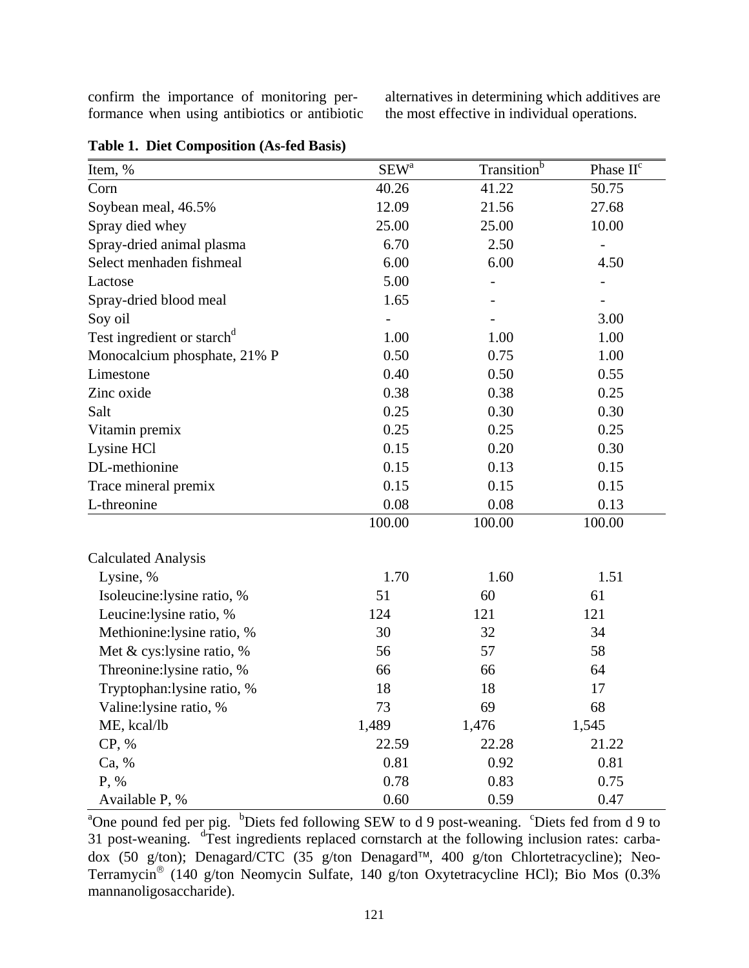confirm the importance of monitoring performance when using antibiotics or antibiotic alternatives in determining which additives are the most effective in individual operations.

| Item, %                                | $SEW^a$ | Transition <sup>b</sup> | Phase II <sup>c</sup> |  |
|----------------------------------------|---------|-------------------------|-----------------------|--|
| Corn                                   | 40.26   | 41.22                   | 50.75                 |  |
| Soybean meal, 46.5%                    | 12.09   | 21.56                   | 27.68                 |  |
| Spray died whey                        | 25.00   | 25.00                   | 10.00                 |  |
| Spray-dried animal plasma              | 6.70    | 2.50                    |                       |  |
| Select menhaden fishmeal               | 6.00    | 6.00                    | 4.50                  |  |
| Lactose                                | 5.00    |                         |                       |  |
| Spray-dried blood meal                 | 1.65    |                         |                       |  |
| Soy oil                                |         |                         | 3.00                  |  |
| Test ingredient or starch <sup>d</sup> | 1.00    | 1.00                    | 1.00                  |  |
| Monocalcium phosphate, 21% P           | 0.50    | 0.75                    | 1.00                  |  |
| Limestone                              | 0.40    | 0.50                    | 0.55                  |  |
| Zinc oxide                             | 0.38    | 0.38                    | 0.25                  |  |
| Salt                                   | 0.25    | 0.30                    | 0.30                  |  |
| Vitamin premix                         | 0.25    | 0.25                    | 0.25                  |  |
| Lysine HCl                             | 0.15    | 0.20                    | 0.30                  |  |
| DL-methionine                          | 0.15    | 0.13                    | 0.15                  |  |
| Trace mineral premix                   | 0.15    | 0.15                    | 0.15                  |  |
| L-threonine                            | 0.08    | 0.08                    | 0.13                  |  |
|                                        | 100.00  | 100.00                  | 100.00                |  |
| <b>Calculated Analysis</b>             |         |                         |                       |  |
| Lysine, %                              | 1.70    | 1.60                    | 1.51                  |  |
| Isoleucine:lysine ratio, %             | 51      | 60                      | 61                    |  |
| Leucine: lysine ratio, %               | 124     | 121                     | 121                   |  |
| Methionine: lysine ratio, %            | 30      | 32                      | 34                    |  |
| Met $&$ cys:lysine ratio, $%$          | 56      | 57                      | 58                    |  |
| Threonine: lysine ratio, %             | 66      | 66                      | 64                    |  |
| Tryptophan:lysine ratio, %             | 18      | 18                      | 17                    |  |
| Valine: lysine ratio, %                | 73      | 69                      | 68                    |  |
| ME, kcal/lb                            | 1,489   | 1,476                   | 1,545                 |  |
| CP, %                                  | 22.59   | 22.28                   | 21.22                 |  |
| Ca, %                                  | 0.81    | 0.92                    | 0.81                  |  |
| P, %                                   | 0.78    | 0.83                    | 0.75                  |  |
| Available P, %                         | 0.60    | 0.59                    | 0.47                  |  |

<sup>a</sup>One pound fed per pig. <sup>b</sup>Diets fed following SEW to d 9 post-weaning. <sup>c</sup>Diets fed from d 9 to 31 post-weaning. drest ingredients replaced cornstarch at the following inclusion rates: carbadox (50 g/ton); Denagard/CTC (35 g/ton Denagard™, 400 g/ton Chlortetracycline); Neo-Terramycin® (140 g/ton Neomycin Sulfate, 140 g/ton Oxytetracycline HCl); Bio Mos (0.3% mannanoligosaccharide).